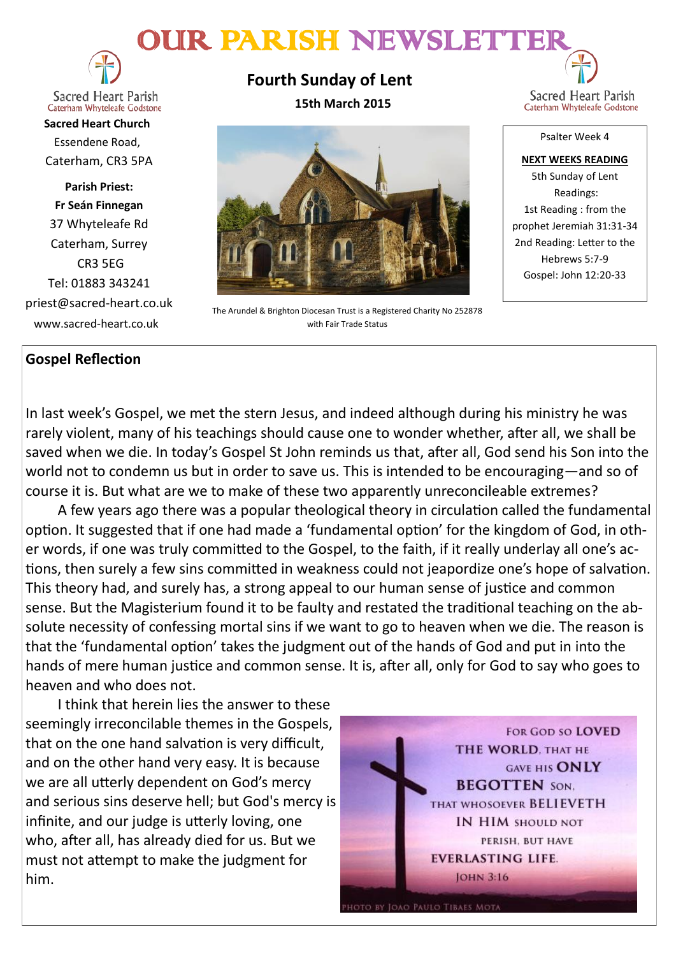# OUR PARISH NEWSLETTER



**Sacred Heart Parish** Caterham Whyteleafe Godstone

**Sacred Heart Church** Essendene Road, Caterham, CR3 5PA

**Parish Priest: Fr Seán Finnegan** 37 Whyteleafe Rd Caterham, Surrey CR3 5EG Tel: 01883 343241 priest@sacred-heart.co.uk www.sacred-heart.co.uk

# **Gospel Reflection**

**Fourth Sunday of Lent 15th March 2015**



The Arundel & Brighton Diocesan Trust is a Registered Charity No 252878 with Fair Trade Status

Sacred Heart Parish Caterham Whyteleafe Godstone

Psalter Week 4

**NEXT WEEKS READING** 5th Sunday of Lent Readings: 1st Reading : from the prophet Jeremiah 31:31-34 2nd Reading: Letter to the Hebrews 5:7-9 Gospel: John 12:20-33

In last week's Gospel, we met the stern Jesus, and indeed although during his ministry he was rarely violent, many of his teachings should cause one to wonder whether, after all, we shall be saved when we die. In today's Gospel St John reminds us that, after all, God send his Son into the world not to condemn us but in order to save us. This is intended to be encouraging—and so of course it is. But what are we to make of these two apparently unreconcileable extremes?

A few years ago there was a popular theological theory in circulation called the fundamental option. It suggested that if one had made a 'fundamental option' for the kingdom of God, in other words, if one was truly committed to the Gospel, to the faith, if it really underlay all one's actions, then surely a few sins committed in weakness could not jeapordize one's hope of salvation. This theory had, and surely has, a strong appeal to our human sense of justice and common sense. But the Magisterium found it to be faulty and restated the traditional teaching on the absolute necessity of confessing mortal sins if we want to go to heaven when we die. The reason is that the 'fundamental option' takes the judgment out of the hands of God and put in into the hands of mere human justice and common sense. It is, after all, only for God to say who goes to heaven and who does not.

I think that herein lies the answer to these seemingly irreconcilable themes in the Gospels, that on the one hand salvation is very difficult, and on the other hand very easy. It is because we are all utterly dependent on God's mercy and serious sins deserve hell; but God's mercy is infinite, and our judge is utterly loving, one who, after all, has already died for us. But we must not attempt to make the judgment for him.

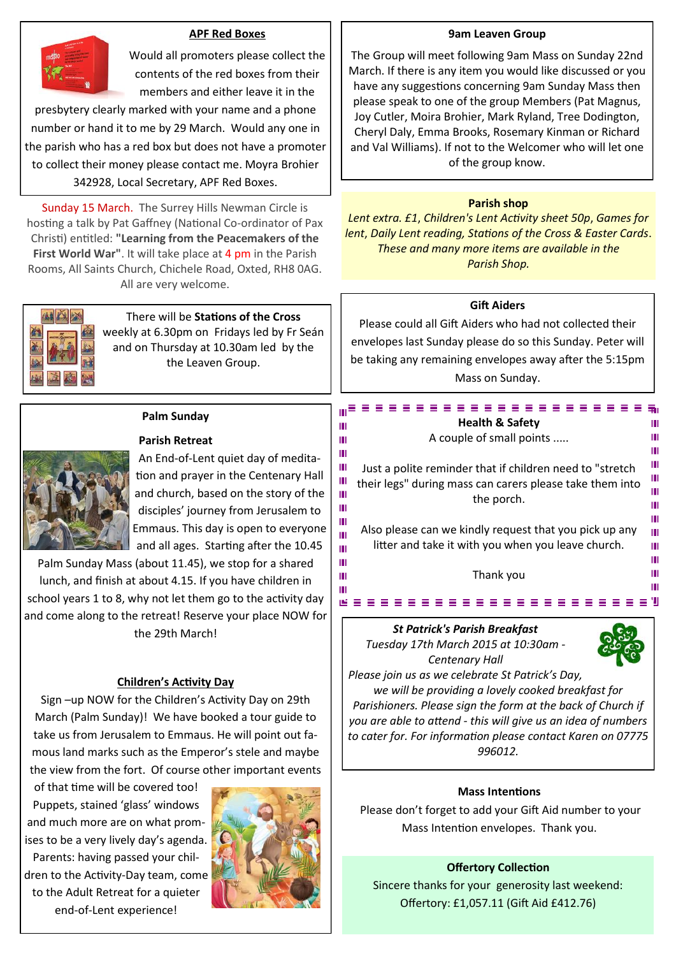#### **APF Red Boxes**



Would all promoters please collect the contents of the red boxes from their members and either leave it in the

presbytery clearly marked with your name and a phone number or hand it to me by 29 March. Would any one in the parish who has a red box but does not have a promoter to collect their money please contact me. Moyra Brohier 342928, Local Secretary, APF Red Boxes.

Sunday 15 March. The Surrey Hills Newman Circle is hosting a talk by Pat Gaffney (National Co-ordinator of Pax Christi) entitled: **"Learning from the Peacemakers of the First World War"**. It will take place at 4 pm in the Parish Rooms, All Saints Church, Chichele Road, Oxted, RH8 0AG. All are very welcome.



There will be **Stations of the Cross**  weekly at 6.30pm on Fridays led by Fr Seán and on Thursday at 10.30am led by the the Leaven Group.

#### **Palm Sunday**

An End-of-Lent quiet day of medita-

Palm Sunday Mass (about 11.45), we stop for a shared lunch, and finish at about 4.15. If you have children in school years 1 to 8, why not let them go to the activity day and come along to the retreat! Reserve your place NOW for the 29th March!

#### **Children's Activity Day**

Sign –up NOW for the Children's Activity Day on 29th March (Palm Sunday)! We have booked a tour guide to take us from Jerusalem to Emmaus. He will point out famous land marks such as the Emperor's stele and maybe the view from the fort. Of course other important events

of that time will be covered too! Puppets, stained 'glass' windows and much more are on what promises to be a very lively day's agenda. Parents: having passed your children to the Activity-Day team, come to the Adult Retreat for a quieter end-of-Lent experience!



#### **9am Leaven Group**

The Group will meet following 9am Mass on Sunday 22nd March. If there is any item you would like discussed or you have any suggestions concerning 9am Sunday Mass then please speak to one of the group Members (Pat Magnus, Joy Cutler, Moira Brohier, Mark Ryland, Tree Dodington, Cheryl Daly, Emma Brooks, Rosemary Kinman or Richard and Val Williams). If not to the Welcomer who will let one of the group know.

#### **Parish shop**

*Lent extra. £1*, *Children's Lent Activity sheet 50p*, *Games for lent*, *Daily Lent reading, Stations of the Cross & Easter Cards*. *These and many more items are available in the Parish Shop.*

#### **Gift Aiders**

Please could all Gift Aiders who had not collected their envelopes last Sunday please do so this Sunday. Peter will be taking any remaining envelopes away after the 5:15pm Mass on Sunday.

> **Health & Safety** A couple of small points .....

Just a polite reminder that if children need to "stretch their legs" during mass can carers please take them into the porch.

### **Parish Retreat**

tion and prayer in the Centenary Hall and church, based on the story of the disciples' journey from Jerusalem to

Ш Emmaus. This day is open to everyone Also please can we kindly request that you pick up any Ш and all ages. Starting after the 10.45 litter and take it with you when you leave church. Ш Ш Ш Ш

Ш

Ш

Ш

Ш

Ш

Ш

Ш

Thank you

#### *St Patrick's Parish Breakfast*

*Tuesday 17th March 2015 at 10:30am - Centenary Hall*



Ш

Ш

ш

Ш

Ш

Ш

Ш

Ш

Ш

 $\mathbf{m}$ 

Ш

Ш

*Please join us as we celebrate St Patrick's Day, we will be providing a lovely cooked breakfast for Parishioners. Please sign the form at the back of Church if you are able to attend - this will give us an idea of numbers to cater for. For information please contact Karen on 07775 996012.*

#### **Mass Intentions**

Please don't forget to add your Gift Aid number to your Mass Intention envelopes. Thank you.

#### **Offertory Collection**

Sincere thanks for your generosity last weekend: Offertory: £1,057.11 (Gift Aid £412.76)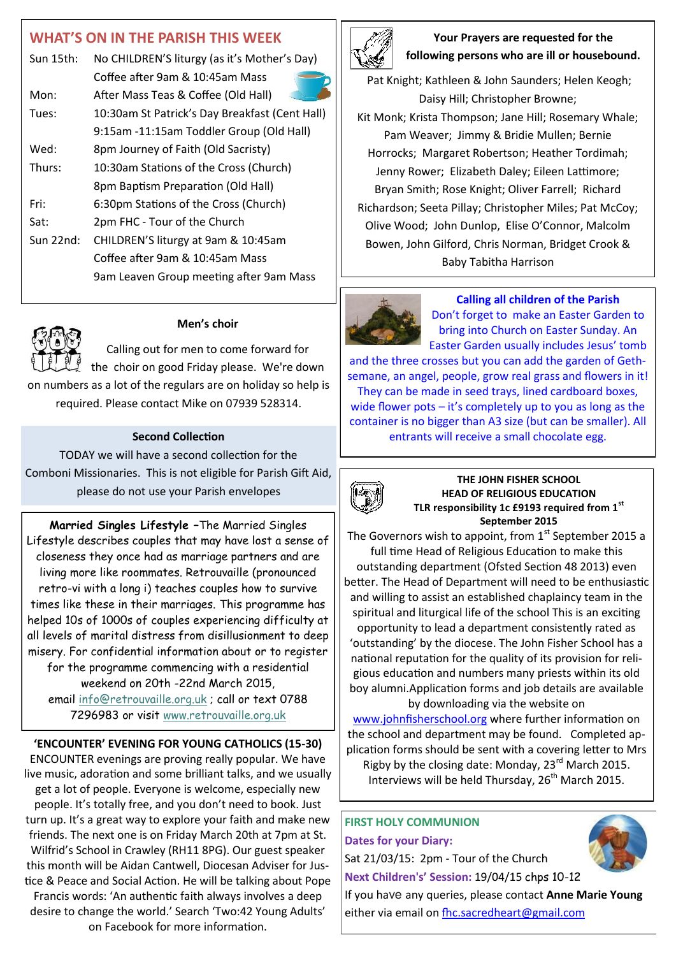## **WHAT'S ON IN THE PARISH THIS WEEK**

| Sun 15th:   | No CHILDREN'S liturgy (as it's Mother's Day)   |  |
|-------------|------------------------------------------------|--|
|             | Coffee after 9am & 10:45am Mass                |  |
| Mon:        | After Mass Teas & Coffee (Old Hall)            |  |
| Tues:       | 10:30am St Patrick's Day Breakfast (Cent Hall) |  |
|             | 9:15am -11:15am Toddler Group (Old Hall)       |  |
| Wed:        | 8pm Journey of Faith (Old Sacristy)            |  |
| Thurs:      | 10:30am Stations of the Cross (Church)         |  |
|             | 8pm Baptism Preparation (Old Hall)             |  |
| Fri:        | 6:30pm Stations of the Cross (Church)          |  |
| Sat:        | 2pm FHC - Tour of the Church                   |  |
| Sun $22nd:$ | CHILDREN'S liturgy at 9am & 10:45am            |  |
|             | Coffee after 9am & 10:45am Mass                |  |
|             | 9am Leaven Group meeting after 9am Mass        |  |
|             |                                                |  |



#### **Men's choir**

Calling out for men to come forward for the choir on good Friday please. We're down on numbers as a lot of the regulars are on holiday so help is required. Please contact Mike on 07939 528314.

#### **Second Collection**

TODAY we will have a second collection for the Comboni Missionaries. This is not eligible for Parish Gift Aid, please do not use your Parish envelopes

**Married Singles Lifestyle –**The Married Singles Lifestyle describes couples that may have lost a sense of closeness they once had as marriage partners and are living more like roommates. Retrouvaille (pronounced retro-vi with a long i) teaches couples how to survive times like these in their marriages. This programme has helped 10s of 1000s of couples experiencing difficulty at all levels of marital distress from disillusionment to deep misery. For confidential information about or to register for the programme commencing with a residential weekend on 20th -22nd March 2015, email [info@retrouvaille.org.uk](mailto:info@retrouvaille.org.uk) ; call or text 0788 7296983 or visit [www.retrouvaille.org.uk](http://www.retrouvaille.org.uk)

# **'ENCOUNTER' EVENING FOR YOUNG CATHOLICS (15-30)**

ENCOUNTER evenings are proving really popular. We have live music, adoration and some brilliant talks, and we usually get a lot of people. Everyone is welcome, especially new people. It's totally free, and you don't need to book. Just turn up. It's a great way to explore your faith and make new friends. The next one is on Friday March 20th at 7pm at St. Wilfrid's School in Crawley (RH11 8PG). Our guest speaker this month will be Aidan Cantwell, Diocesan Adviser for Justice & Peace and Social Action. He will be talking about Pope Francis words: 'An authentic faith always involves a deep desire to change the world.' Search 'Two:42 Young Adults' on Facebook for more information.



#### **Your Prayers are requested for the following persons who are ill or housebound.**

Pat Knight; Kathleen & John Saunders; Helen Keogh; Daisy Hill; Christopher Browne; Kit Monk; Krista Thompson; Jane Hill; Rosemary Whale; Pam Weaver; Jimmy & Bridie Mullen; Bernie Horrocks; Margaret Robertson; Heather Tordimah; Jenny Rower; Elizabeth Daley; Eileen Lattimore; Bryan Smith; Rose Knight; Oliver Farrell; Richard Richardson; Seeta Pillay; Christopher Miles; Pat McCoy; Olive Wood; John Dunlop, Elise O'Connor, Malcolm Bowen, John Gilford, Chris Norman, Bridget Crook & Baby Tabitha Harrison



#### **Calling all children of the Parish**

Don't forget to make an Easter Garden to bring into Church on Easter Sunday. An Easter Garden usually includes Jesus' tomb

and the three crosses but you can add the garden of Gethsemane, an angel, people, grow real grass and flowers in it! They can be made in seed trays, lined cardboard boxes, wide flower pots – it's completely up to you as long as the container is no bigger than A3 size (but can be smaller). All entrants will receive a small chocolate egg.



#### **THE JOHN FISHER SCHOOL HEAD OF RELIGIOUS EDUCATION TLR responsibility 1c £9193 required from 1st September 2015**

The Governors wish to appoint, from  $1<sup>st</sup>$  September 2015 a full time Head of Religious Education to make this outstanding department (Ofsted Section 48 2013) even better. The Head of Department will need to be enthusiastic and willing to assist an established chaplaincy team in the spiritual and liturgical life of the school This is an exciting opportunity to lead a department consistently rated as 'outstanding' by the diocese. The John Fisher School has a national reputation for the quality of its provision for religious education and numbers many priests within its old boy alumni.Application forms and job details are available

by downloading via the website on [www.johnfisherschool.org](http://www.johnfisherschool.org) where further information on the school and department may be found. Completed application forms should be sent with a covering letter to Mrs Rigby by the closing date: Monday, 23rd March 2015. Interviews will be held Thursday,  $26<sup>th</sup>$  March 2015.

### **FIRST HOLY COMMUNION Dates for your Diary:**

Sat 21/03/15: 2pm - Tour of the Church **Next Children's' Session:** 19/04/15 chps 10-12

If you have any queries, please contact **Anne Marie Young** either via email on fhc.sacredheart@gmail.com